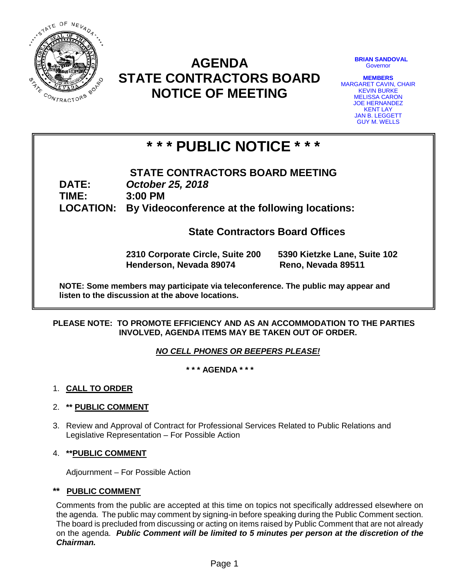

# **AGENDA STATE CONTRACTORS BOARD NOTICE OF MEETING**

**BRIAN SANDOVAL Governor** 

**MEMBERS** MARGARET CAVIN, CHAIR KEVIN BURKE MELISSA CARON JOE HERNANDEZ KENT LAY JAN B. LEGGETT GUY M. WELLS

# **\* \* \* PUBLIC NOTICE \* \* \***

**STATE CONTRACTORS BOARD MEETING DATE:** *October 25, 2018* **TIME: 3:00 PM LOCATION: By Videoconference at the following locations:**

**State Contractors Board Offices**

**2310 Corporate Circle, Suite 200 5390 Kietzke Lane, Suite 102 Henderson, Nevada 89074 Reno, Nevada 89511**

**NOTE: Some members may participate via teleconference. The public may appear and listen to the discussion at the above locations.**

#### **PLEASE NOTE: TO PROMOTE EFFICIENCY AND AS AN ACCOMMODATION TO THE PARTIES INVOLVED, AGENDA ITEMS MAY BE TAKEN OUT OF ORDER.**

## *NO CELL PHONES OR BEEPERS PLEASE!*

**\* \* \* AGENDA \* \* \***

#### 1. **CALL TO ORDER**

## 2. **\*\* PUBLIC COMMENT**

3. Review and Approval of Contract for Professional Services Related to Public Relations and Legislative Representation – For Possible Action

#### 4. **\*\*PUBLIC COMMENT**

Adjournment – For Possible Action

#### **\*\* PUBLIC COMMENT**

Comments from the public are accepted at this time on topics not specifically addressed elsewhere on the agenda. The public may comment by signing-in before speaking during the Public Comment section. The board is precluded from discussing or acting on items raised by Public Comment that are not already on the agenda. *Public Comment will be limited to 5 minutes per person at the discretion of the Chairman.*